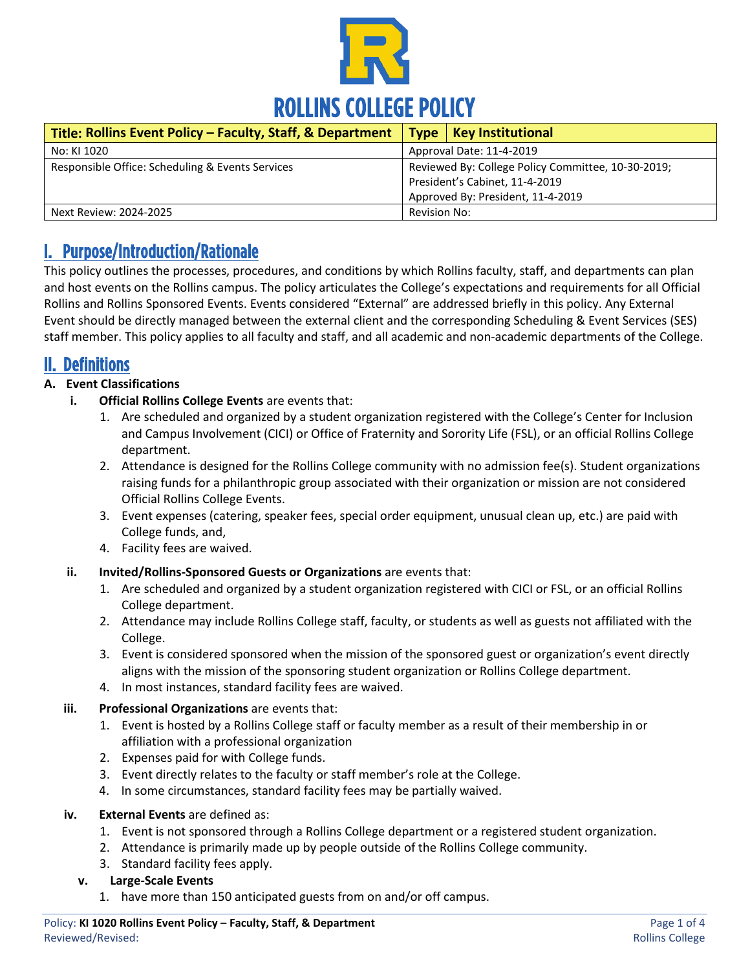

| Title: Rollins Event Policy - Faculty, Staff, & Department |                                                    | Type   Key Institutional |
|------------------------------------------------------------|----------------------------------------------------|--------------------------|
| No: KI 1020                                                | Approval Date: 11-4-2019                           |                          |
| Responsible Office: Scheduling & Events Services           | Reviewed By: College Policy Committee, 10-30-2019; |                          |
|                                                            | President's Cabinet, 11-4-2019                     |                          |
|                                                            | Approved By: President, 11-4-2019                  |                          |
| Next Review: 2024-2025                                     | Revision No:                                       |                          |

### I. Purpose/Introduction/Rationale

This policy outlines the processes, procedures, and conditions by which Rollins faculty, staff, and departments can plan and host events on the Rollins campus. The policy articulates the College's expectations and requirements for all Official Rollins and Rollins Sponsored Events. Events considered "External" are addressed briefly in this policy. Any External Event should be directly managed between the external client and the corresponding Scheduling & Event Services (SES) staff member. This policy applies to all faculty and staff, and all academic and non-academic departments of the College.

### II. Definitions

### **A. Event Classifications**

- **i. Official Rollins College Events** are events that:
	- 1. Are scheduled and organized by a student organization registered with the College's Center for Inclusion and Campus Involvement (CICI) or Office of Fraternity and Sorority Life (FSL), or an official Rollins College department.
	- 2. Attendance is designed for the Rollins College community with no admission fee(s). Student organizations raising funds for a philanthropic group associated with their organization or mission are not considered Official Rollins College Events.
	- 3. Event expenses (catering, speaker fees, special order equipment, unusual clean up, etc.) are paid with College funds, and,
	- 4. Facility fees are waived.
- **ii. Invited/Rollins-Sponsored Guests or Organizations** are events that:
	- 1. Are scheduled and organized by a student organization registered with CICI or FSL, or an official Rollins College department.
	- 2. Attendance may include Rollins College staff, faculty, or students as well as guests not affiliated with the College.
	- 3. Event is considered sponsored when the mission of the sponsored guest or organization's event directly aligns with the mission of the sponsoring student organization or Rollins College department.
	- 4. In most instances, standard facility fees are waived.

#### **iii. Professional Organizations** are events that:

- 1. Event is hosted by a Rollins College staff or faculty member as a result of their membership in or affiliation with a professional organization
- 2. Expenses paid for with College funds.
- 3. Event directly relates to the faculty or staff member's role at the College.
- 4. In some circumstances, standard facility fees may be partially waived.
- **iv. External Events** are defined as:
	- 1. Event is not sponsored through a Rollins College department or a registered student organization.
	- 2. Attendance is primarily made up by people outside of the Rollins College community.
	- 3. Standard facility fees apply.

#### **v. Large-Scale Events**

1. have more than 150 anticipated guests from on and/or off campus.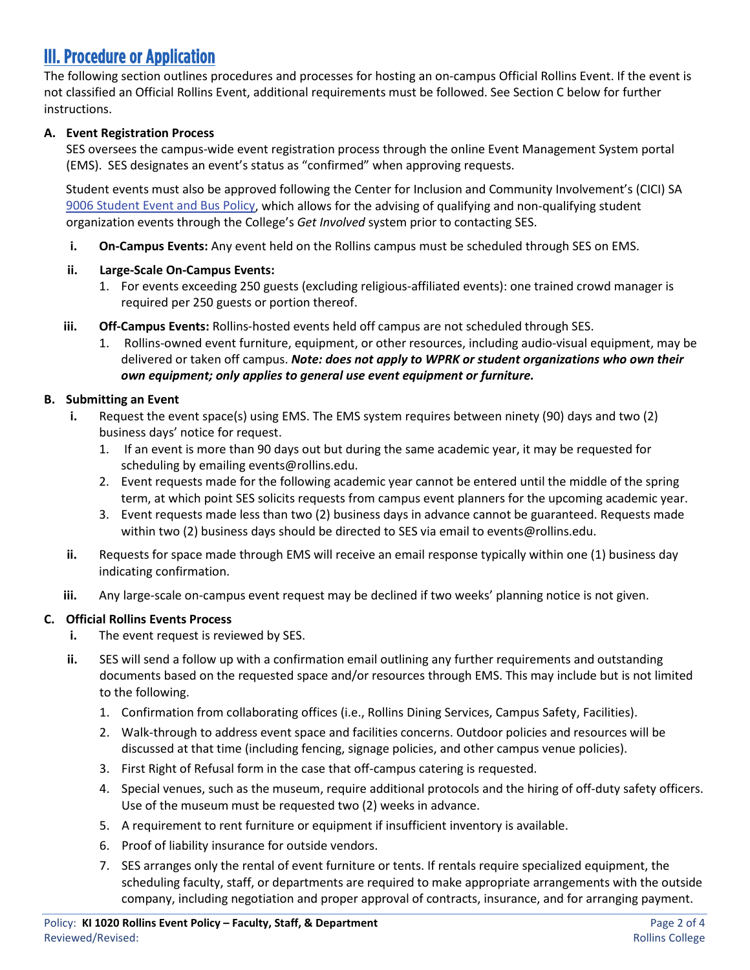# III. Procedure or Application

The following section outlines procedures and processes for hosting an on-campus Official Rollins Event. If the event is not classified an Official Rollins Event, additional requirements must be followed. See Section C below for further instructions.

### **A. Event Registration Process**

SES oversees the campus-wide event registration process through the online Event Management System portal (EMS). SES designates an event's status as "confirmed" when approving requests.

Student events must also be approved following the Center for Inclusion and Community Involvement's (CICI) SA [9006 Student Event and Bus Policy,](https://rpublic.rollins.edu/sites/IR/Student%20Affairs%20Policies/SA%209006%20Student%20Event%20and%20Bus%20Policy%208-21-2017.pdf) which allows for the advising of qualifying and non-qualifying student organization events through the College's *Get Involved* system prior to contacting SES.

**i. On-Campus Events:** Any event held on the Rollins campus must be scheduled through SES on EMS.

#### **ii. Large-Scale On-Campus Events:**

- 1. For events exceeding 250 guests (excluding religious-affiliated events): one trained crowd manager is required per 250 guests or portion thereof.
- **iii. Off-Campus Events:** Rollins-hosted events held off campus are not scheduled through SES.
	- 1. Rollins-owned event furniture, equipment, or other resources, including audio-visual equipment, may be delivered or taken off campus. *Note: does not apply to WPRK or student organizations who own their own equipment; only applies to general use event equipment or furniture.*

#### **B. Submitting an Event**

- **i.** Request the event space(s) using EMS. The EMS system requires between ninety (90) days and two (2) business days' notice for request.
	- 1. If an event is more than 90 days out but during the same academic year, it may be requested for scheduling by emailing events@rollins.edu.
	- 2. Event requests made for the following academic year cannot be entered until the middle of the spring term, at which point SES solicits requests from campus event planners for the upcoming academic year.
	- 3. Event requests made less than two (2) business days in advance cannot be guaranteed. Requests made within two (2) business days should be directed to SES via email to events@rollins.edu.
- **ii.** Requests for space made through EMS will receive an email response typically within one (1) business day indicating confirmation.
- **iii.** Any large-scale on-campus event request may be declined if two weeks' planning notice is not given.

#### **C. Official Rollins Events Process**

- **i.** The event request is reviewed by SES.
- **ii.** SES will send a follow up with a confirmation email outlining any further requirements and outstanding documents based on the requested space and/or resources through EMS. This may include but is not limited to the following.
	- 1. Confirmation from collaborating offices (i.e., Rollins Dining Services, Campus Safety, Facilities).
	- 2. Walk-through to address event space and facilities concerns. Outdoor policies and resources will be discussed at that time (including fencing, signage policies, and other campus venue policies).
	- 3. First Right of Refusal form in the case that off-campus catering is requested.
	- 4. Special venues, such as the museum, require additional protocols and the hiring of off-duty safety officers. Use of the museum must be requested two (2) weeks in advance.
	- 5. A requirement to rent furniture or equipment if insufficient inventory is available.
	- 6. Proof of liability insurance for outside vendors.
	- 7. SES arranges only the rental of event furniture or tents. If rentals require specialized equipment, the scheduling faculty, staff, or departments are required to make appropriate arrangements with the outside company, including negotiation and proper approval of contracts, insurance, and for arranging payment.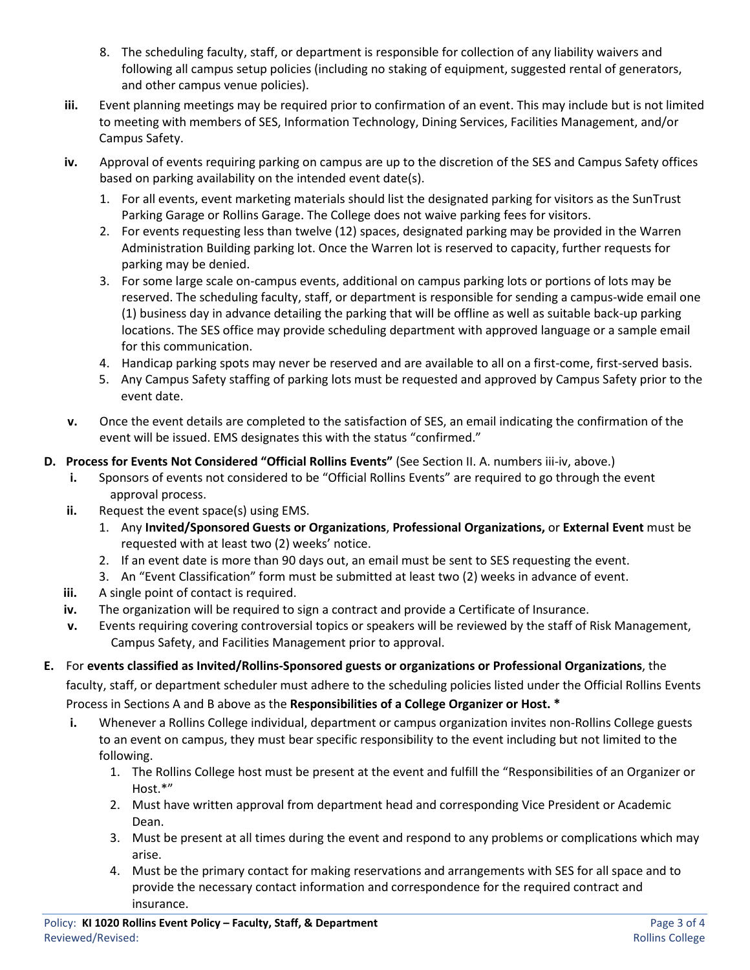- 8. The scheduling faculty, staff, or department is responsible for collection of any liability waivers and following all campus setup policies (including no staking of equipment, suggested rental of generators, and other campus venue policies).
- **iii.** Event planning meetings may be required prior to confirmation of an event. This may include but is not limited to meeting with members of SES, Information Technology, Dining Services, Facilities Management, and/or Campus Safety.
- **iv.** Approval of events requiring parking on campus are up to the discretion of the SES and Campus Safety offices based on parking availability on the intended event date(s).
	- 1. For all events, event marketing materials should list the designated parking for visitors as the SunTrust Parking Garage or Rollins Garage. The College does not waive parking fees for visitors.
	- 2. For events requesting less than twelve (12) spaces, designated parking may be provided in the Warren Administration Building parking lot. Once the Warren lot is reserved to capacity, further requests for parking may be denied.
	- 3. For some large scale on-campus events, additional on campus parking lots or portions of lots may be reserved. The scheduling faculty, staff, or department is responsible for sending a campus-wide email one (1) business day in advance detailing the parking that will be offline as well as suitable back-up parking locations. The SES office may provide scheduling department with approved language or a sample email for this communication.
	- 4. Handicap parking spots may never be reserved and are available to all on a first-come, first-served basis.
	- 5. Any Campus Safety staffing of parking lots must be requested and approved by Campus Safety prior to the event date.
- **v.** Once the event details are completed to the satisfaction of SES, an email indicating the confirmation of the event will be issued. EMS designates this with the status "confirmed."
- **D. Process for Events Not Considered "Official Rollins Events"** (See Section II. A. numbers iii-iv, above.)
	- **i.** Sponsors of events not considered to be "Official Rollins Events" are required to go through the event approval process.
	- **ii.** Request the event space(s) using EMS.
		- 1. Any **Invited/Sponsored Guests or Organizations**, **Professional Organizations,** or **External Event** must be requested with at least two (2) weeks' notice.
		- 2. If an event date is more than 90 days out, an email must be sent to SES requesting the event.
		- 3. An "Event Classification" form must be submitted at least two (2) weeks in advance of event.
	- **iii.** A single point of contact is required.
	- **iv.** The organization will be required to sign a contract and provide a Certificate of Insurance.
	- **v.** Events requiring covering controversial topics or speakers will be reviewed by the staff of Risk Management, Campus Safety, and Facilities Management prior to approval.
- **E.** For **events classified as Invited/Rollins-Sponsored guests or organizations or Professional Organizations**, the faculty, staff, or department scheduler must adhere to the scheduling policies listed under the Official Rollins Events Process in Sections A and B above as the **Responsibilities of a College Organizer or Host. \***
	- **i.** Whenever a Rollins College individual, department or campus organization invites non-Rollins College guests to an event on campus, they must bear specific responsibility to the event including but not limited to the following.
		- 1. The Rollins College host must be present at the event and fulfill the "Responsibilities of an Organizer or Host.\*"
		- 2. Must have written approval from department head and corresponding Vice President or Academic Dean.
		- 3. Must be present at all times during the event and respond to any problems or complications which may arise.
		- 4. Must be the primary contact for making reservations and arrangements with SES for all space and to provide the necessary contact information and correspondence for the required contract and insurance.